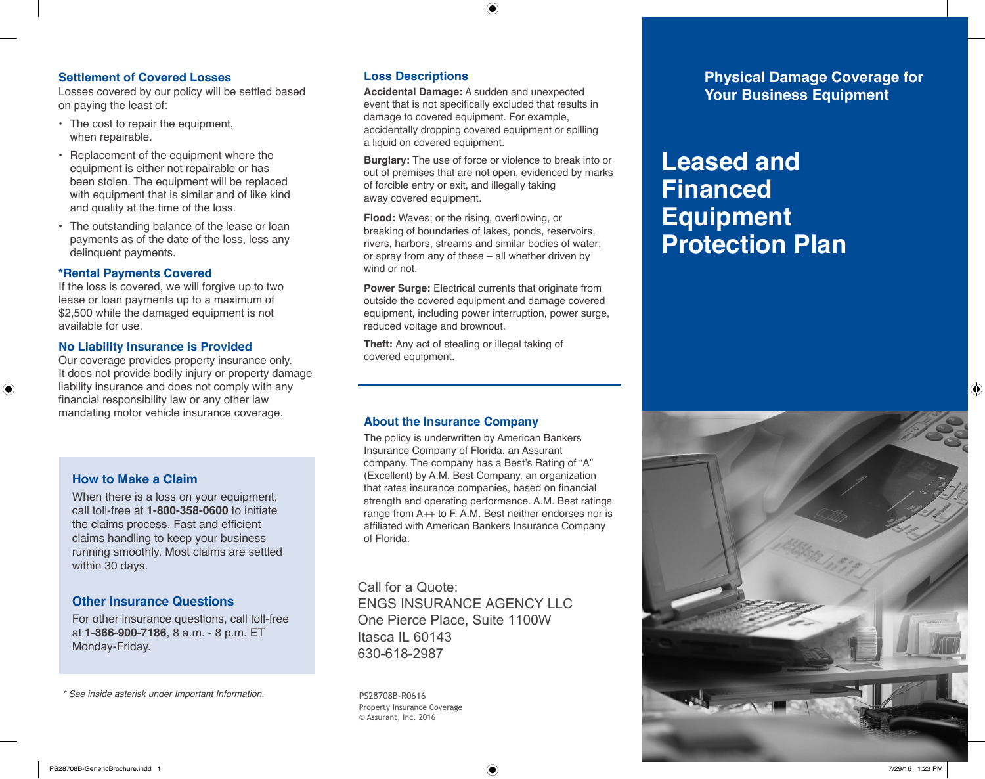### **Settlement of Covered Losses**

Losses covered by our policy will be settled based on paying the least of:

- The cost to repair the equipment, when repairable.
- Replacement of the equipment where the equipment is either not repairable or has been stolen. The equipment will be replaced with equipment that is similar and of like kind and quality at the time of the loss.
- The outstanding balance of the lease or loan payments as of the date of the loss, less any delinquent payments.

### **\*Rental Payments Covered**

If the loss is covered, we will forgive up to two lease or loan payments up to a maximum of \$2,500 while the damaged equipment is not available for use.

### **No Liability Insurance is Provided**

Our coverage provides property insurance only. It does not provide bodily injury or property damage liability insurance and does not comply with any financial responsibility law or any other law mandating motor vehicle insurance coverage.

### **How to Make a Claim**

⊕

When there is a loss on your equipment, call toll-free at **1-800-358-0600** to initiate the claims process. Fast and efficient claims handling to keep your business running smoothly. Most claims are settled within 30 days.

### **Other Insurance Questions**

For other insurance questions, call toll-free at **1-866-900-7186**, 8 a.m. - 8 p.m. ET Monday-Friday.

*\* See inside asterisk under Important Information.*

### **Loss Descriptions**

**Accidental Damage:** A sudden and unexpected event that is not specifically excluded that results in damage to covered equipment. For example, accidentally dropping covered equipment or spilling a liquid on covered equipment.

⊕

**Burglary:** The use of force or violence to break into or out of premises that are not open, evidenced by marks of forcible entry or exit, and illegally taking away covered equipment.

**Flood:** Waves; or the rising, overflowing, or breaking of boundaries of lakes, ponds, reservoirs, rivers, harbors, streams and similar bodies of water; or spray from any of these – all whether driven by wind or not.

**Power Surge:** Electrical currents that originate from outside the covered equipment and damage covered equipment, including power interruption, power surge, reduced voltage and brownout.

**Theft:** Any act of stealing or illegal taking of covered equipment.

### **About the Insurance Company**

The policy is underwritten by American Bankers Insurance Company of Florida, an Assurant company. The company has a Best's Rating of "A" (Excellent) by A.M. Best Company, an organization that rates insurance companies, based on financial strength and operating performance. A.M. Best ratings range from A++ to F. A.M. Best neither endorses nor is affiliated with American Bankers Insurance Company of Florida.

Call for a Quote: ENGS INSURANCE AGENCY LLC One Pierce Place, Suite 1100W Itasca IL 60143 630-618-2987

PS28708B-R0616 Property Insurance Coverage © Assurant, Inc. 2016

**Physical Damage Coverage for Your Business Equipment**

# **Leased and Financed Equipment Protection Plan**



PS28708B-GenericBrochure.indd 1 7/29/16 1:23 PM